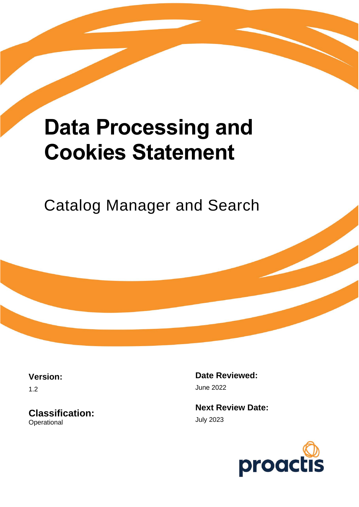# **Data Processing and Cookies Statement**

Catalog Manager and Search

**Version:**

1.2

**Classification: Operational** 

**Date Reviewed:** June 2022

**Next Review Date:** July 2023

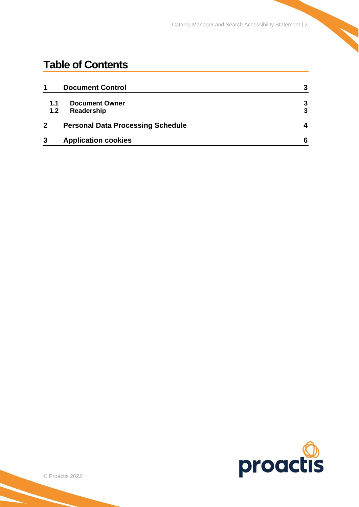Catalog Manager and Search Accessibility Statement | 2

## **Table of Contents**

| 1            | <b>Document Control</b>                  | 3 |
|--------------|------------------------------------------|---|
| 1.1          | <b>Document Owner</b>                    | 3 |
| 1.2          | Readership                               | 3 |
| $\mathbf{2}$ | <b>Personal Data Processing Schedule</b> | 4 |
| 3            | <b>Application cookies</b>               | 6 |

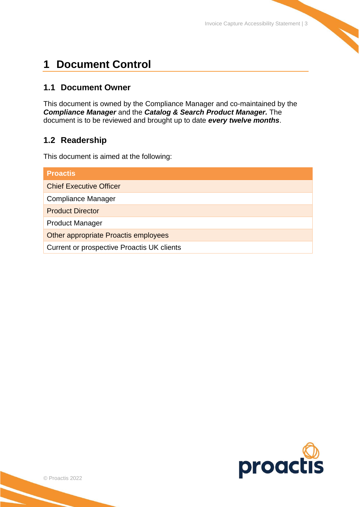## <span id="page-2-0"></span>**1 Document Control**

### <span id="page-2-1"></span>**1.1 Document Owner**

This document is owned by the Compliance Manager and co-maintained by the *Compliance Manager* and the *Catalog & Search Product Manager.* The document is to be reviewed and brought up to date *every twelve months*.

## <span id="page-2-2"></span>**1.2 Readership**

This document is aimed at the following:

| <b>Proactis</b>                            |  |  |
|--------------------------------------------|--|--|
| <b>Chief Executive Officer</b>             |  |  |
| <b>Compliance Manager</b>                  |  |  |
| <b>Product Director</b>                    |  |  |
| <b>Product Manager</b>                     |  |  |
| Other appropriate Proactis employees       |  |  |
| Current or prospective Proactis UK clients |  |  |

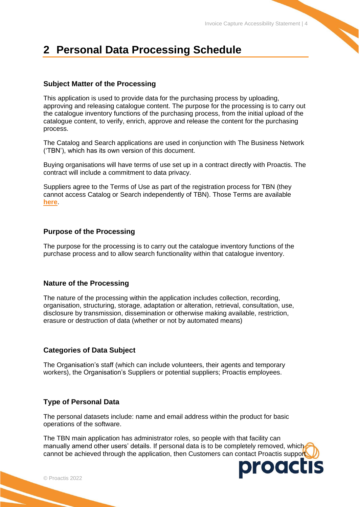# <span id="page-3-0"></span>**2 Personal Data Processing Schedule**

#### **Subject Matter of the Processing**

This application is used to provide data for the purchasing process by uploading, approving and releasing catalogue content. The purpose for the processing is to carry out the catalogue inventory functions of the purchasing process, from the initial upload of the catalogue content, to verify, enrich, approve and release the content for the purchasing process.

The Catalog and Search applications are used in conjunction with The Business Network ('TBN'), which has its own version of this document.

Buying organisations will have terms of use set up in a contract directly with Proactis. The contract will include a commitment to data privacy.

Suppliers agree to the Terms of Use as part of the registration process for TBN (they cannot access Catalog or Search independently of TBN). Those Terms are available **[here](https://portal.hubwoo.com/auth/terms-of-use.pdf)**.

#### **Purpose of the Processing**

The purpose for the processing is to carry out the catalogue inventory functions of the purchase process and to allow search functionality within that catalogue inventory.

#### **Nature of the Processing**

The nature of the processing within the application includes collection, recording, organisation, structuring, storage, adaptation or alteration, retrieval, consultation, use, disclosure by transmission, dissemination or otherwise making available, restriction, erasure or destruction of data (whether or not by automated means)

#### **Categories of Data Subject**

The Organisation's staff (which can include volunteers, their agents and temporary workers), the Organisation's Suppliers or potential suppliers; Proactis employees.

#### **Type of Personal Data**

The personal datasets include: name and email address within the product for basic operations of the software.

The TBN main application has administrator roles, so people with that facility can manually amend other users' details. If personal data is to be completely removed, which cannot be achieved through the application, then Customers can contact Proactis support

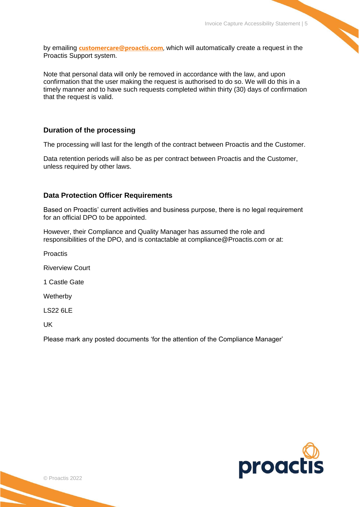by emailing **[customercare@proactis.com](mailto:customercare@proactis.com)**, which will automatically create a request in the Proactis Support system.

Note that personal data will only be removed in accordance with the law, and upon confirmation that the user making the request is authorised to do so. We will do this in a timely manner and to have such requests completed within thirty (30) days of confirmation that the request is valid.

#### **Duration of the processing**

The processing will last for the length of the contract between Proactis and the Customer.

Data retention periods will also be as per contract between Proactis and the Customer, unless required by other laws.

#### **Data Protection Officer Requirements**

Based on Proactis' current activities and business purpose, there is no legal requirement for an official DPO to be appointed.

However, their Compliance and Quality Manager has assumed the role and responsibilities of the DPO, and is contactable at compliance@Proactis.com or at:

Proactis

Riverview Court

1 Castle Gate

**Wetherby** 

LS22 6LE

UK

Please mark any posted documents 'for the attention of the Compliance Manager'